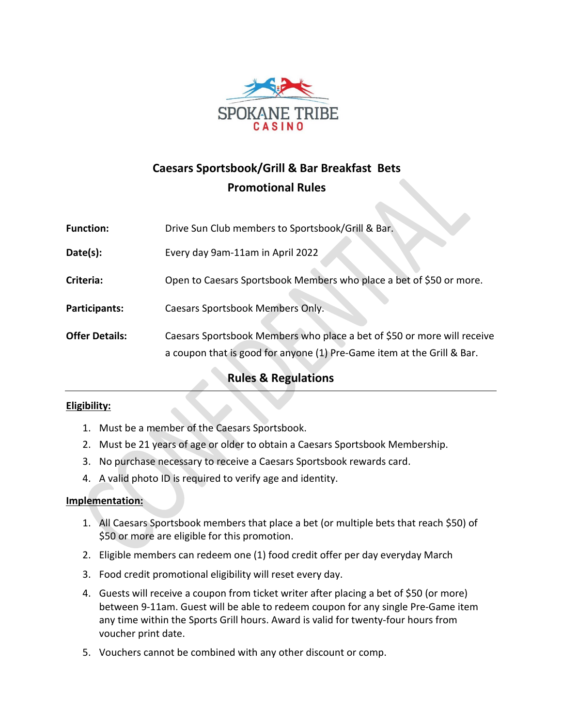

# **Caesars Sportsbook/Grill & Bar Breakfast Bets Promotional Rules**

| <b>Function:</b>      | Drive Sun Club members to Sportsbook/Grill & Bar.                                                                                                 |
|-----------------------|---------------------------------------------------------------------------------------------------------------------------------------------------|
| Date(s):              | Every day 9am-11am in April 2022                                                                                                                  |
| Criteria:             | Open to Caesars Sportsbook Members who place a bet of \$50 or more.                                                                               |
| Participants:         | Caesars Sportsbook Members Only.                                                                                                                  |
| <b>Offer Details:</b> | Caesars Sportsbook Members who place a bet of \$50 or more will receive<br>a coupon that is good for anyone (1) Pre-Game item at the Grill & Bar. |

## **Rules & Regulations**

#### **Eligibility:**

- 1. Must be a member of the Caesars Sportsbook.
- 2. Must be 21 years of age or older to obtain a Caesars Sportsbook Membership.
- 3. No purchase necessary to receive a Caesars Sportsbook rewards card.
- 4. A valid photo ID is required to verify age and identity.

#### **Implementation:**

- 1. All Caesars Sportsbook members that place a bet (or multiple bets that reach \$50) of \$50 or more are eligible for this promotion.
- 2. Eligible members can redeem one (1) food credit offer per day everyday March
- 3. Food credit promotional eligibility will reset every day.
- 4. Guests will receive a coupon from ticket writer after placing a bet of \$50 (or more) between 9-11am. Guest will be able to redeem coupon for any single Pre-Game item any time within the Sports Grill hours. Award is valid for twenty-four hours from voucher print date.
- 5. Vouchers cannot be combined with any other discount or comp.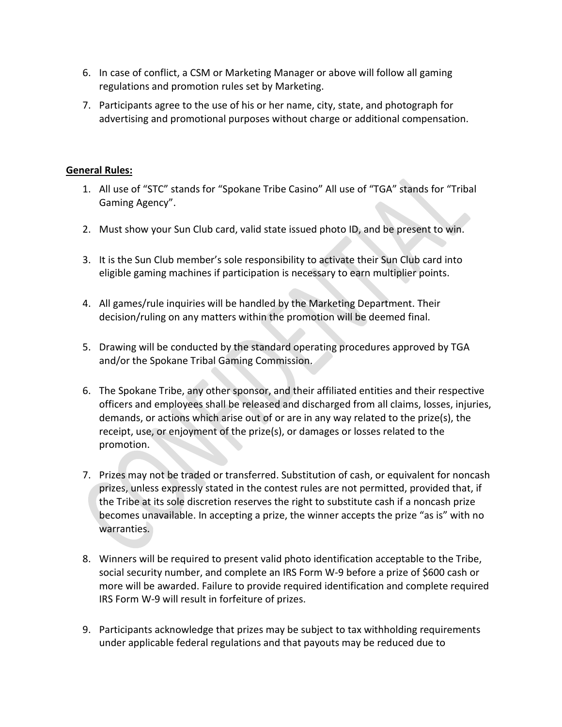- 6. In case of conflict, a CSM or Marketing Manager or above will follow all gaming regulations and promotion rules set by Marketing.
- 7. Participants agree to the use of his or her name, city, state, and photograph for advertising and promotional purposes without charge or additional compensation.

### **General Rules:**

- 1. All use of "STC" stands for "Spokane Tribe Casino" All use of "TGA" stands for "Tribal Gaming Agency".
- 2. Must show your Sun Club card, valid state issued photo ID, and be present to win.
- 3. It is the Sun Club member's sole responsibility to activate their Sun Club card into eligible gaming machines if participation is necessary to earn multiplier points.
- 4. All games/rule inquiries will be handled by the Marketing Department. Their decision/ruling on any matters within the promotion will be deemed final.
- 5. Drawing will be conducted by the standard operating procedures approved by TGA and/or the Spokane Tribal Gaming Commission.
- 6. The Spokane Tribe, any other sponsor, and their affiliated entities and their respective officers and employees shall be released and discharged from all claims, losses, injuries, demands, or actions which arise out of or are in any way related to the prize(s), the receipt, use, or enjoyment of the prize(s), or damages or losses related to the promotion.
- 7. Prizes may not be traded or transferred. Substitution of cash, or equivalent for noncash prizes, unless expressly stated in the contest rules are not permitted, provided that, if the Tribe at its sole discretion reserves the right to substitute cash if a noncash prize becomes unavailable. In accepting a prize, the winner accepts the prize "as is" with no warranties.
- 8. Winners will be required to present valid photo identification acceptable to the Tribe, social security number, and complete an IRS Form W-9 before a prize of \$600 cash or more will be awarded. Failure to provide required identification and complete required IRS Form W-9 will result in forfeiture of prizes.
- 9. Participants acknowledge that prizes may be subject to tax withholding requirements under applicable federal regulations and that payouts may be reduced due to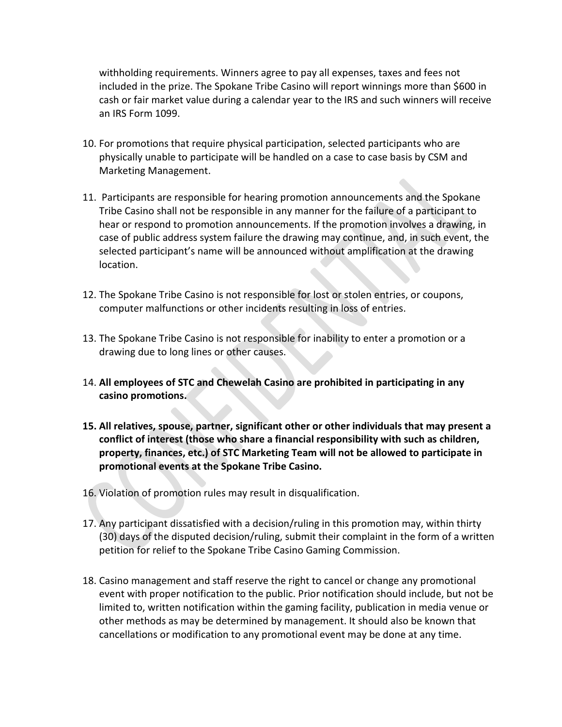withholding requirements. Winners agree to pay all expenses, taxes and fees not included in the prize. The Spokane Tribe Casino will report winnings more than \$600 in cash or fair market value during a calendar year to the IRS and such winners will receive an IRS Form 1099.

- 10. For promotions that require physical participation, selected participants who are physically unable to participate will be handled on a case to case basis by CSM and Marketing Management.
- 11. Participants are responsible for hearing promotion announcements and the Spokane Tribe Casino shall not be responsible in any manner for the failure of a participant to hear or respond to promotion announcements. If the promotion involves a drawing, in case of public address system failure the drawing may continue, and, in such event, the selected participant's name will be announced without amplification at the drawing location.
- 12. The Spokane Tribe Casino is not responsible for lost or stolen entries, or coupons, computer malfunctions or other incidents resulting in loss of entries.
- 13. The Spokane Tribe Casino is not responsible for inability to enter a promotion or a drawing due to long lines or other causes.
- 14. **All employees of STC and Chewelah Casino are prohibited in participating in any casino promotions.**
- **15. All relatives, spouse, partner, significant other or other individuals that may present a conflict of interest (those who share a financial responsibility with such as children, property, finances, etc.) of STC Marketing Team will not be allowed to participate in promotional events at the Spokane Tribe Casino.**
- 16. Violation of promotion rules may result in disqualification.
- 17. Any participant dissatisfied with a decision/ruling in this promotion may, within thirty (30) days of the disputed decision/ruling, submit their complaint in the form of a written petition for relief to the Spokane Tribe Casino Gaming Commission.
- 18. Casino management and staff reserve the right to cancel or change any promotional event with proper notification to the public. Prior notification should include, but not be limited to, written notification within the gaming facility, publication in media venue or other methods as may be determined by management. It should also be known that cancellations or modification to any promotional event may be done at any time.